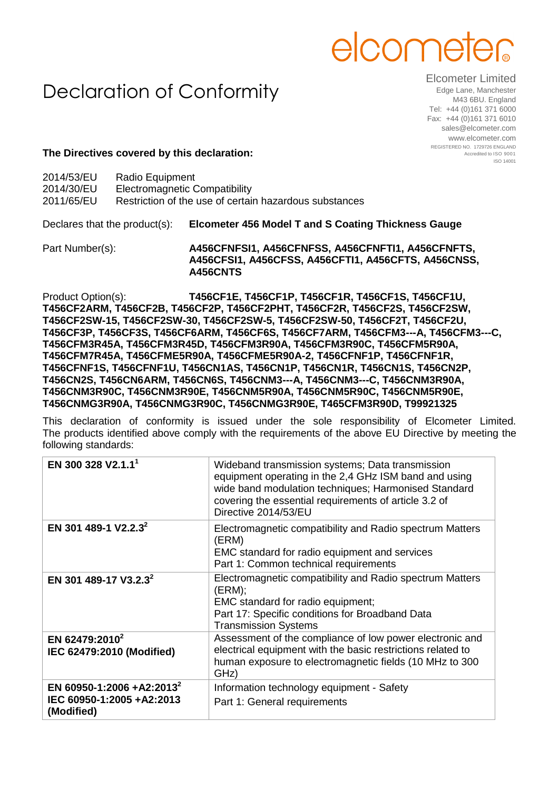## elcome

## Declaration of Conformity

Elcometer Limited Edge Lane, Manchester M43 6BU. England Tel: +44 (0)161 371 6000 Fax: +44 (0)161 371 6010 sales@elcometer.com www.elcometer.com REGISTERED NO. 1729726 ENGLAND Accredited to ISO 9001 ISO 14001

## **The Directives covered by this declaration:**

| Declares that the product(s): |                 | <b>Elcometer 456 Model T and S Coating Thickness Gauge</b> |
|-------------------------------|-----------------|------------------------------------------------------------|
| 2011/65/EU                    |                 | Restriction of the use of certain hazardous substances     |
| 2014/30/EU                    |                 | Electromagnetic Compatibility                              |
| 2014/53/EU                    | Radio Equipment |                                                            |

Part Number(s): **A456CFNFSI1, A456CFNFSS, A456CFNFTI1, A456CFNFTS, A456CFSI1, A456CFSS, A456CFTI1, A456CFTS, A456CNSS, A456CNTS**

Product Option(s): **T456CF1E, T456CF1P, T456CF1R, T456CF1S, T456CF1U, T456CF2ARM, T456CF2B, T456CF2P, T456CF2PHT, T456CF2R, T456CF2S, T456CF2SW, T456CF2SW-15, T456CF2SW-30, T456CF2SW-5, T456CF2SW-50, T456CF2T, T456CF2U, T456CF3P, T456CF3S, T456CF6ARM, T456CF6S, T456CF7ARM, T456CFM3---A, T456CFM3---C, T456CFM3R45A, T456CFM3R45D, T456CFM3R90A, T456CFM3R90C, T456CFM5R90A, T456CFM7R45A, T456CFME5R90A, T456CFME5R90A-2, T456CFNF1P, T456CFNF1R, T456CFNF1S, T456CFNF1U, T456CN1AS, T456CN1P, T456CN1R, T456CN1S, T456CN2P, T456CN2S, T456CN6ARM, T456CN6S, T456CNM3---A, T456CNM3---C, T456CNM3R90A, T456CNM3R90C, T456CNM3R90E, T456CNM5R90A, T456CNM5R90C, T456CNM5R90E, T456CNMG3R90A, T456CNMG3R90C, T456CNMG3R90E, T465CFM3R90D, T99921325**

This declaration of conformity is issued under the sole responsibility of Elcometer Limited. The products identified above comply with the requirements of the above EU Directive by meeting the following standards:

| EN 300 328 V2.1.1 <sup>1</sup>                                                   | Wideband transmission systems; Data transmission<br>equipment operating in the 2,4 GHz ISM band and using<br>wide band modulation techniques; Harmonised Standard<br>covering the essential requirements of article 3.2 of<br>Directive 2014/53/EU |
|----------------------------------------------------------------------------------|----------------------------------------------------------------------------------------------------------------------------------------------------------------------------------------------------------------------------------------------------|
| EN 301 489-1 V2.2.3 <sup>2</sup>                                                 | Electromagnetic compatibility and Radio spectrum Matters<br>(ERM)<br>EMC standard for radio equipment and services<br>Part 1: Common technical requirements                                                                                        |
| EN 301 489-17 V3.2.3 <sup>2</sup>                                                | Electromagnetic compatibility and Radio spectrum Matters<br>(ERM);<br>EMC standard for radio equipment;<br>Part 17: Specific conditions for Broadband Data<br><b>Transmission Systems</b>                                                          |
| EN 62479:2010 <sup>2</sup><br>IEC 62479:2010 (Modified)                          | Assessment of the compliance of low power electronic and<br>electrical equipment with the basic restrictions related to<br>human exposure to electromagnetic fields (10 MHz to 300<br>GHz)                                                         |
| EN 60950-1:2006 +A2:2013 <sup>2</sup><br>IEC 60950-1:2005 +A2:2013<br>(Modified) | Information technology equipment - Safety<br>Part 1: General requirements                                                                                                                                                                          |